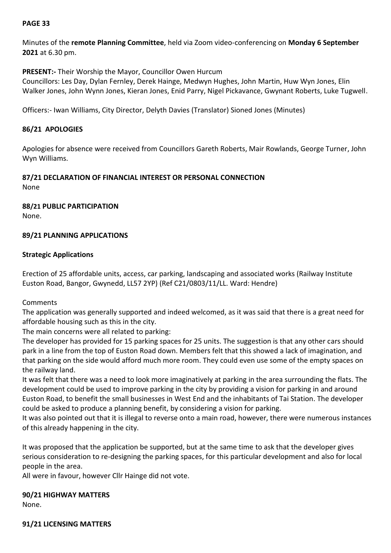## **PAGE 33**

Minutes of the **remote Planning Committee**, held via Zoom video-conferencing on **Monday 6 September 2021** at 6.30 pm.

**PRESENT:-** Their Worship the Mayor, Councillor Owen Hurcum

Councillors: Les Day, Dylan Fernley, Derek Hainge, Medwyn Hughes, John Martin, Huw Wyn Jones, Elin Walker Jones, John Wynn Jones, Kieran Jones, Enid Parry, Nigel Pickavance, Gwynant Roberts, Luke Tugwell.

Officers:- Iwan Williams, City Director, Delyth Davies (Translator) Sioned Jones (Minutes)

#### **86/21 APOLOGIES**

Apologies for absence were received from Councillors Gareth Roberts, Mair Rowlands, George Turner, John Wyn Williams.

### **87/21 DECLARATION OF FINANCIAL INTEREST OR PERSONAL CONNECTION**

None

**88/21 PUBLIC PARTICIPATION** None.

### **89/21 PLANNING APPLICATIONS**

### **Strategic Applications**

Erection of 25 affordable units, access, car parking, landscaping and associated works (Railway Institute Euston Road, Bangor, Gwynedd, LL57 2YP) (Ref C21/0803/11/LL. Ward: Hendre)

Comments

The application was generally supported and indeed welcomed, as it was said that there is a great need for affordable housing such as this in the city.

The main concerns were all related to parking:

The developer has provided for 15 parking spaces for 25 units. The suggestion is that any other cars should park in a line from the top of Euston Road down. Members felt that this showed a lack of imagination, and that parking on the side would afford much more room. They could even use some of the empty spaces on the railway land.

It was felt that there was a need to look more imaginatively at parking in the area surrounding the flats. The development could be used to improve parking in the city by providing a vision for parking in and around Euston Road, to benefit the small businesses in West End and the inhabitants of Tai Station. The developer could be asked to produce a planning benefit, by considering a vision for parking.

It was also pointed out that it is illegal to reverse onto a main road, however, there were numerous instances of this already happening in the city.

It was proposed that the application be supported, but at the same time to ask that the developer gives serious consideration to re-designing the parking spaces, for this particular development and also for local people in the area.

All were in favour, however Cllr Hainge did not vote.

# **90/21 HIGHWAY MATTERS**

None.

**91/21 LICENSING MATTERS**